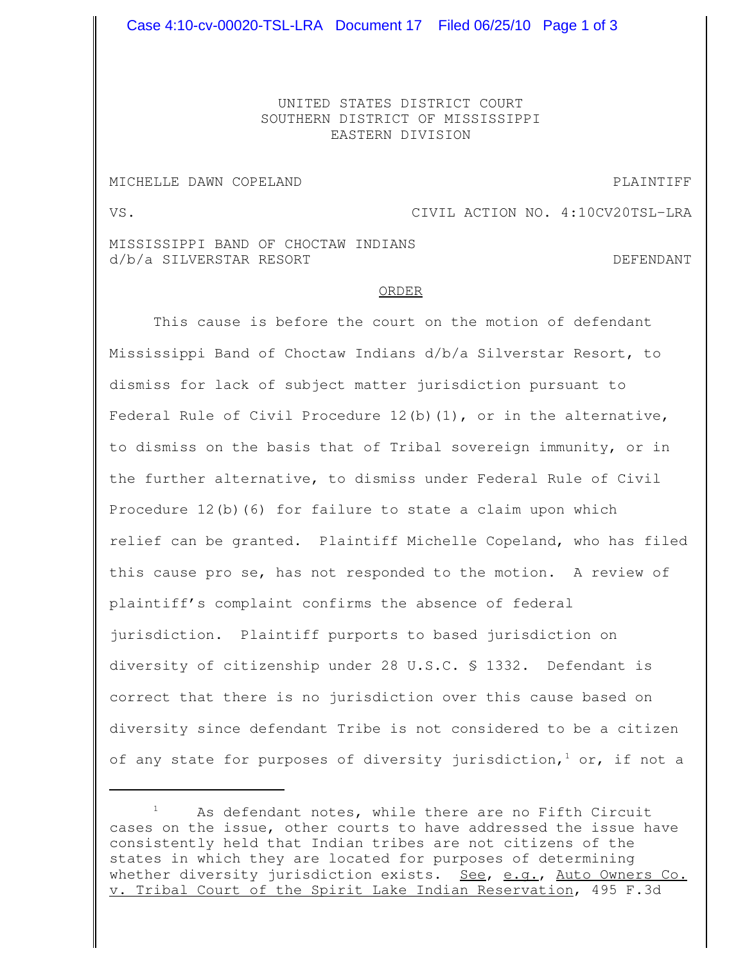UNITED STATES DISTRICT COURT SOUTHERN DISTRICT OF MISSISSIPPI EASTERN DIVISION

## MICHELLE DAWN COPELAND **PLAINTIFF**

VS. VS.

MISSISSIPPI BAND OF CHOCTAW INDIANS d/b/a SILVERSTAR RESORT DEFENDANT

## ORDER

This cause is before the court on the motion of defendant Mississippi Band of Choctaw Indians d/b/a Silverstar Resort, to dismiss for lack of subject matter jurisdiction pursuant to Federal Rule of Civil Procedure 12(b)(1), or in the alternative, to dismiss on the basis that of Tribal sovereign immunity, or in the further alternative, to dismiss under Federal Rule of Civil Procedure 12(b)(6) for failure to state a claim upon which relief can be granted. Plaintiff Michelle Copeland, who has filed this cause pro se, has not responded to the motion. A review of plaintiff's complaint confirms the absence of federal jurisdiction. Plaintiff purports to based jurisdiction on diversity of citizenship under 28 U.S.C. § 1332. Defendant is correct that there is no jurisdiction over this cause based on diversity since defendant Tribe is not considered to be a citizen of any state for purposes of diversity jurisdiction,  $^1$  or, if not a

As defendant notes, while there are no Fifth Circuit cases on the issue, other courts to have addressed the issue have consistently held that Indian tribes are not citizens of the states in which they are located for purposes of determining whether diversity jurisdiction exists. See, e.g., Auto Owners Co. v. Tribal Court of the Spirit Lake Indian Reservation, 495 F.3d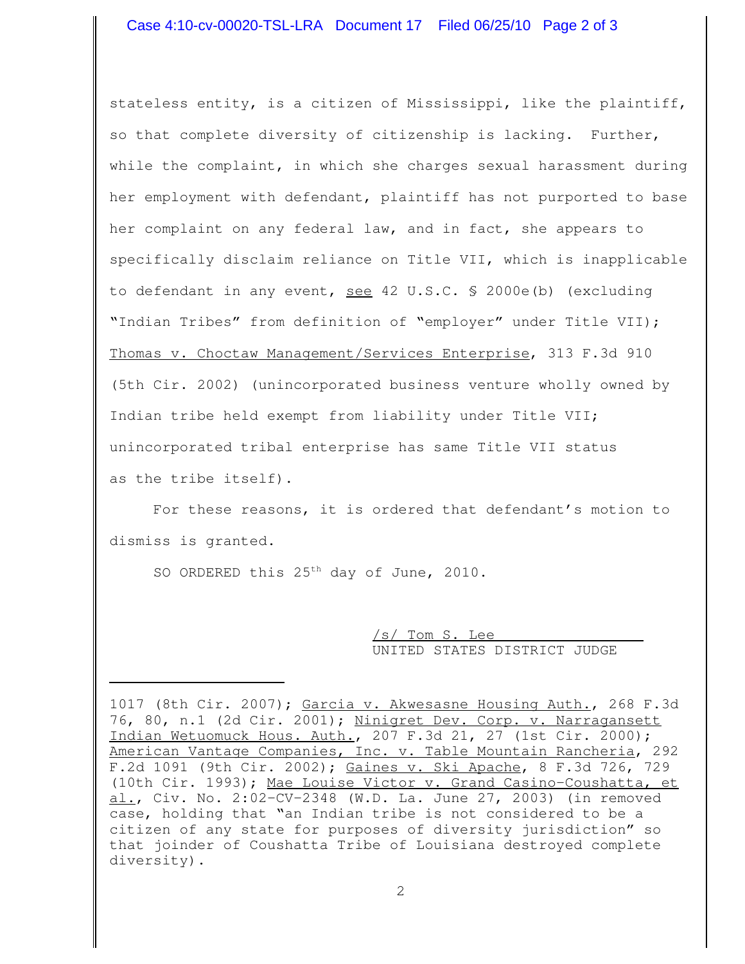stateless entity, is a citizen of Mississippi, like the plaintiff, so that complete diversity of citizenship is lacking. Further, while the complaint, in which she charges sexual harassment during her employment with defendant, plaintiff has not purported to base her complaint on any federal law, and in fact, she appears to specifically disclaim reliance on Title VII, which is inapplicable to defendant in any event, see 42 U.S.C. § 2000e(b) (excluding "Indian Tribes" from definition of "employer" under Title VII); Thomas v. Choctaw Management/Services Enterprise, 313 F.3d 910 (5th Cir. 2002) (unincorporated business venture wholly owned by Indian tribe held exempt from liability under Title VII; unincorporated tribal enterprise has same Title VII status as the tribe itself).

For these reasons, it is ordered that defendant's motion to dismiss is granted.

SO ORDERED this 25<sup>th</sup> day of June, 2010.

/s/ Tom S. Lee UNITED STATES DISTRICT JUDGE

<sup>1017</sup> (8th Cir. 2007); Garcia v. Akwesasne Housing Auth., 268 F.3d 76, 80, n.1 (2d Cir. 2001); Ninigret Dev. Corp. v. Narragansett Indian Wetuomuck Hous. Auth., 207 F.3d 21, 27 (1st Cir. 2000); American Vantage Companies, Inc. v. Table Mountain Rancheria, 292 F.2d 1091 (9th Cir. 2002); Gaines v. Ski Apache, 8 F.3d 726, 729 (10th Cir. 1993); Mae Louise Victor v. Grand Casino-Coushatta, et al., Civ. No. 2:02-CV-2348 (W.D. La. June 27, 2003) (in removed case, holding that "an Indian tribe is not considered to be a citizen of any state for purposes of diversity jurisdiction" so that joinder of Coushatta Tribe of Louisiana destroyed complete diversity).